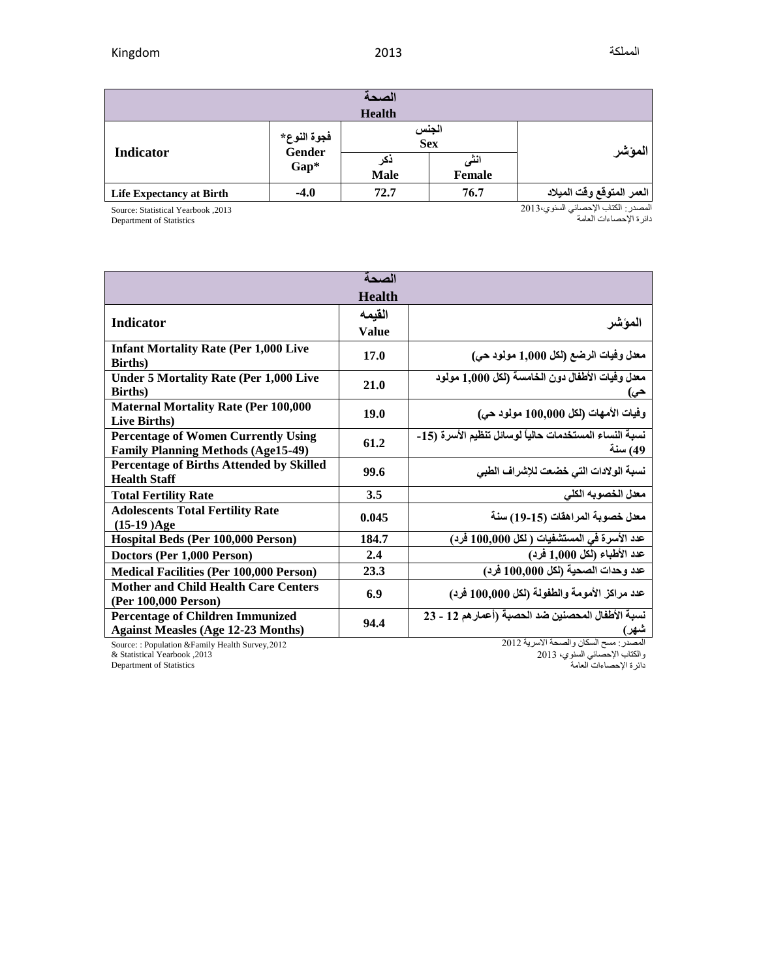| الصحة                           |                                 |                    |                |                           |  |  |  |  |
|---------------------------------|---------------------------------|--------------------|----------------|---------------------------|--|--|--|--|
| <b>Health</b>                   |                                 |                    |                |                           |  |  |  |  |
| Indicator                       | فجوة النوع*<br>Gender<br>$Gap*$ | الجنس<br>Sex       |                | المؤشر                    |  |  |  |  |
|                                 |                                 | دکر<br><b>Male</b> | اننى<br>Female |                           |  |  |  |  |
| <b>Life Expectancy at Birth</b> | $-4.0$                          | 72.7               | 76.7           | العمر المتوقع وقت الميلاد |  |  |  |  |

Source: Statistical Yearbook ,2013

Department of Statistics

المصدر : الكتاب الإحصـائي السنوي،2013 دائرة اإلحصاءات العامة

| الصحة                                                                                   |               |                                                                   |  |  |  |  |  |
|-----------------------------------------------------------------------------------------|---------------|-------------------------------------------------------------------|--|--|--|--|--|
|                                                                                         | <b>Health</b> |                                                                   |  |  |  |  |  |
|                                                                                         | القيمه        |                                                                   |  |  |  |  |  |
| <b>Indicator</b>                                                                        | <b>Value</b>  | المؤشر                                                            |  |  |  |  |  |
| <b>Infant Mortality Rate (Per 1,000 Live</b><br><b>Births</b> )                         | 17.0          | معدل وفيات الرضع (لكل 1,000 مولود حي)                             |  |  |  |  |  |
| <b>Under 5 Mortality Rate (Per 1,000 Live</b><br><b>Births</b> )                        | 21.0          | معدل وفيات الأطفال دون الخامسة (لكل 1,000 مولود<br>حى)            |  |  |  |  |  |
| <b>Maternal Mortality Rate (Per 100,000</b><br>Live Births)                             | 19.0          | وفيات الأمهات (لكل 100,000 مولود حي)                              |  |  |  |  |  |
| <b>Percentage of Women Currently Using</b><br><b>Family Planning Methods (Age15-49)</b> | 61.2          | نسبة النساء المستخدمات حالياً لوسائل تنظيم الأسرة (15-<br>49) سنة |  |  |  |  |  |
| <b>Percentage of Births Attended by Skilled</b><br><b>Health Staff</b>                  | 99.6          | نسبة الولادات التي خضعت للإشراف الطبي                             |  |  |  |  |  |
| <b>Total Fertility Rate</b>                                                             | 3.5           | معدل الخصوبه الكلى                                                |  |  |  |  |  |
| <b>Adolescents Total Fertility Rate</b><br>$(15-19)Age$                                 | 0.045         | معدل خصوبة المراهقات (15-19) سنة                                  |  |  |  |  |  |
| Hospital Beds (Per 100,000 Person)                                                      | 184.7         | عدد الأسرة في المستشفيات ( لكل 100,000 فرد)                       |  |  |  |  |  |
| Doctors (Per 1,000 Person)                                                              | 2.4           | عدد الأطباء (لكل 1,000 فرد)                                       |  |  |  |  |  |
| <b>Medical Facilities (Per 100,000 Person)</b>                                          | 23.3          | عدد وحدات الصحية (لكل 100,000 فرد)                                |  |  |  |  |  |
| <b>Mother and Child Health Care Centers</b><br>(Per 100,000 Person)                     | 6.9           | عدد مراكز الأمومة والطفولة (لكل 100,000 فرد)                      |  |  |  |  |  |
| <b>Percentage of Children Immunized</b><br><b>Against Measles (Age 12-23 Months)</b>    | 94.4          | نسبة الأطفال المحصنين ضد الحصبة (أعمار هم 12 - 23<br>شهر)         |  |  |  |  |  |

Source: : Population &Family Health Survey,2012 & Statistical Yearbook ,2013 Department of Statistics

المصدر: مسح السكان والصحة االسرية 3103

والكتاب اإلحصائي السنىي، 3102

دائرة اإلحصاءات العامة